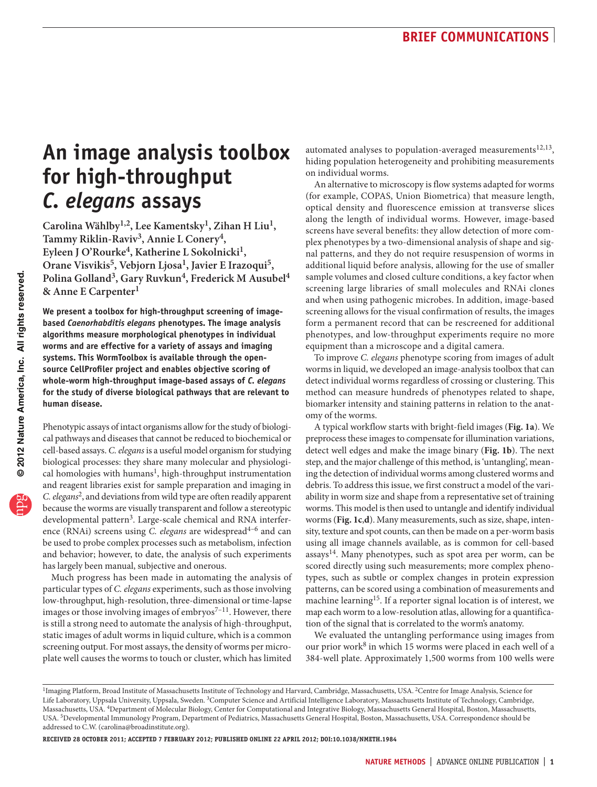# **An image analysis toolbox for high-throughput**  *C. elegans* **assays**

**Carolina Wählby1,2, Lee Kamentsky1, Zihan H Liu1, Tammy Riklin-Raviv3, Annie L Conery4,**  Eyleen J O'Rourke<sup>4</sup>, Katherine L Sokolnicki<sup>1</sup>, **Orane Visvikis5, Vebjorn Ljosa1, Javier E Irazoqui5,**  Polina Golland<sup>3</sup>, Gary Ruvkun<sup>4</sup>, Frederick M Ausubel<sup>4</sup> **& Anne E Carpenter1**

**We present a toolbox for high-throughput screening of imagebased** *Caenorhabditis elegans* **phenotypes. The image analysis algorithms measure morphological phenotypes in individual worms and are effective for a variety of assays and imaging systems. This WormToolbox is available through the opensource CellProfiler project and enables objective scoring of whole-worm high-throughput image-based assays of** *C. elegans* **for the study of diverse biological pathways that are relevant to human disease.**

Phenotypic assays of intact organisms allow for the study of biological pathways and diseases that cannot be reduced to biochemical or cell-based assays. *C. elegans* is a useful model organism for studying biological processes: they share many molecular and physiologi-cal homologies with humans<sup>[1](#page-2-5)</sup>, high-throughput instrumentation and reagent libraries exist for sample preparation and imaging in *C. elegans*[2](#page-2-6), and deviations from wild type are often readily apparent because the worms are visually transparent and follow a stereotypic developmental pattern<sup>[3](#page-2-7)</sup>. Large-scale chemical and RNA interference (RNAi) screens using *C. elegans* are widespread<sup>4-6</sup> and can be used to probe complex processes such as metabolism, infection and behavior; however, to date, the analysis of such experiments has largely been manual, subjective and onerous.

Much progress has been made in automating the analysis of particular types of *C. elegans* experiments, such as those involving low-throughput, high-resolution, three-dimensional or time-lapse images or those involving images of embryos $7-11$ . However, there is still a strong need to automate the analysis of high-throughput, static images of adult worms in liquid culture, which is a common screening output. For most assays, the density of worms per microplate well causes the worms to touch or cluster, which has limited automated analyses to population-averaged measurements $12,13$  $12,13$ , hiding population heterogeneity and prohibiting measurements on individual worms.

An alternative to microscopy is flow systems adapted for worms (for example, COPAS, Union Biometrica) that measure length, optical density and fluorescence emission at transverse slices along the length of individual worms. However, image-based screens have several benefits: they allow detection of more complex phenotypes by a two-dimensional analysis of shape and signal patterns, and they do not require resuspension of worms in additional liquid before analysis, allowing for the use of smaller sample volumes and closed culture conditions, a key factor when screening large libraries of small molecules and RNAi clones and when using pathogenic microbes. In addition, image-based screening allows for the visual confirmation of results, the images form a permanent record that can be rescreened for additional phenotypes, and low-throughput experiments require no more equipment than a microscope and a digital camera.

To improve *C. elegans* phenotype scoring from images of adult worms in liquid, we developed an image-analysis toolbox that can detect individual worms regardless of crossing or clustering. This method can measure hundreds of phenotypes related to shape, biomarker intensity and staining patterns in relation to the anatomy of the worms.

A typical workflow starts with bright-field images (**[Fig. 1a](#page-1-0)**). We preprocess these images to compensate for illumination variations, detect well edges and make the image binary (**[Fig. 1b](#page-1-0)**). The next step, and the major challenge of this method, is 'untangling', meaning the detection of individual worms among clustered worms and debris. To address this issue, we first construct a model of the variability in worm size and shape from a representative set of training worms. This model is then used to untangle and identify individual worms (**[Fig. 1c](#page-1-0)**,**d**). Many measurements, such as size, shape, intensity, texture and spot counts, can then be made on a per-worm basis using all image channels available, as is common for cell-based assays[14](#page-2-2). Many phenotypes, such as spot area per worm, can be scored directly using such measurements; more complex phenotypes, such as subtle or complex changes in protein expression patterns, can be scored using a combination of measurements and machine learning<sup>15</sup>. If a reporter signal location is of interest, we map each worm to a low-resolution atlas, allowing for a quantification of the signal that is correlated to the worm's anatomy.

We evaluated the untangling performance using images from our prior work<sup>8</sup> in which 15 worms were placed in each well of a 384-well plate. Approximately 1,500 worms from 100 wells were

**Received 28 October 2011; accepted 7 February 2012; published online 22 april 2012; [doi:10.1038/nmeth.1984](http://www.nature.com/doifinder/10.1038/nmeth.1984)**

<sup>&</sup>lt;sup>1</sup>Imaging Platform, Broad Institute of Massachusetts Institute of Technology and Harvard, Cambridge, Massachusetts, USA. <sup>2</sup>Centre for Image Analysis, Science for Life Laboratory, Uppsala University, Uppsala, Sweden. 3Computer Science and Artificial Intelligence Laboratory, Massachusetts Institute of Technology, Cambridge, Massachusetts, USA. 4Department of Molecular Biology, Center for Computational and Integrative Biology, Massachusetts General Hospital, Boston, Massachusetts, USA. 5Developmental Immunology Program, Department of Pediatrics, Massachusetts General Hospital, Boston, Massachusetts, USA. Correspondence should be addressed to C.W. (carolina@broadinstitute.org).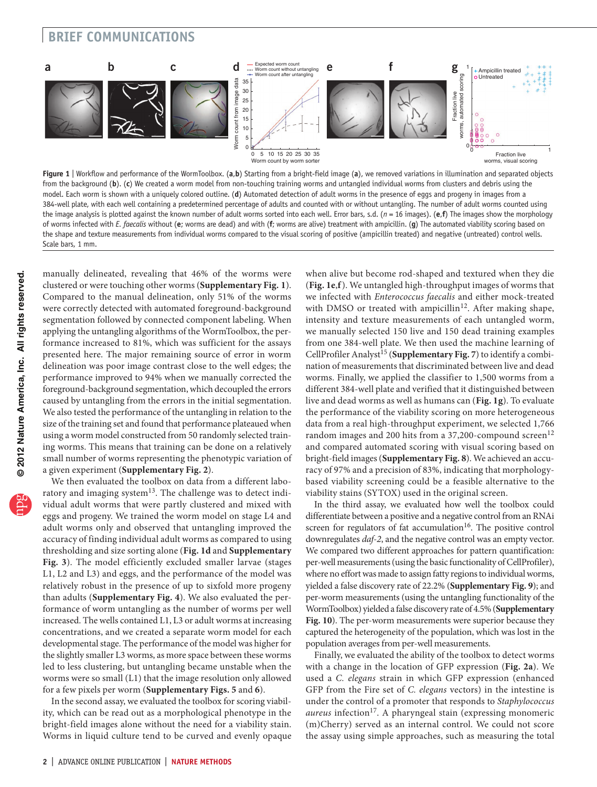## **brief communications**



<span id="page-1-0"></span>**Figure 1** | Workflow and performance of the WormToolbox. (**a**,**b**) Starting from a bright-field image (**a**), we removed variations in illumination and separated objects from the background (**b**). (**c**) We created a worm model from non-touching training worms and untangled individual worms from clusters and debris using the model. Each worm is shown with a uniquely colored outline. (**d**) Automated detection of adult worms in the presence of eggs and progeny in images from a 384-well plate, with each well containing a predetermined percentage of adults and counted with or without untangling. The number of adult worms counted using the image analysis is plotted against the known number of adult worms sorted into each well. Error bars, s.d. (*n* = 16 images). (**e**,**f**) The images show the morphology of worms infected with *E. faecalis* without (**e**; worms are dead) and with (**f**; worms are alive) treatment with ampicillin. (**g**) The automated viability scoring based on the shape and texture measurements from individual worms compared to the visual scoring of positive (ampicillin treated) and negative (untreated) control wells. Scale bars, 1 mm.

manually delineated, revealing that 46% of the worms were clustered or were touching other worms (**Supplementary Fig. 1**). Compared to the manual delineation, only 51% of the worms were correctly detected with automated foreground-background segmentation followed by connected component labeling. When applying the untangling algorithms of the WormToolbox, the performance increased to 81%, which was sufficient for the assays presented here. The major remaining source of error in worm delineation was poor image contrast close to the well edges; the performance improved to 94% when we manually corrected the foreground-background segmentation, which decoupled the errors caused by untangling from the errors in the initial segmentation. We also tested the performance of the untangling in relation to the size of the training set and found that performance plateaued when using a worm model constructed from 50 randomly selected training worms. This means that training can be done on a relatively small number of worms representing the phenotypic variation of a given experiment (**Supplementary Fig. 2**).

We then evaluated the toolbox on data from a different laboratory and imaging system<sup>13</sup>. The challenge was to detect individual adult worms that were partly clustered and mixed with eggs and progeny. We trained the worm model on stage L4 and adult worms only and observed that untangling improved the accuracy of finding individual adult worms as compared to using thresholding and size sorting alone (**[Fig. 1d](#page-1-0)** and **Supplementary Fig. 3**). The model efficiently excluded smaller larvae (stages L1, L2 and L3) and eggs, and the performance of the model was relatively robust in the presence of up to sixfold more progeny than adults (**Supplementary Fig. 4**). We also evaluated the performance of worm untangling as the number of worms per well increased. The wells contained L1, L3 or adult worms at increasing concentrations, and we created a separate worm model for each developmental stage. The performance of the model was higher for the slightly smaller L3 worms, as more space between these worms led to less clustering, but untangling became unstable when the worms were so small (L1) that the image resolution only allowed for a few pixels per worm (**Supplementary Figs. 5** and **6**).

In the second assay, we evaluated the toolbox for scoring viability, which can be read out as a morphological phenotype in the bright-field images alone without the need for a viability stain. Worms in liquid culture tend to be curved and evenly opaque when alive but become rod-shaped and textured when they die (**[Fig. 1e](#page-1-0)**,**f**). We untangled high-throughput images of worms that we infected with *Enterococcus faecalis* and either mock-treated with DMSO or treated with ampicillin<sup>[12](#page-2-0)</sup>. After making shape, intensity and texture measurements of each untangled worm, we manually selected 150 live and 150 dead training examples from one 384-well plate. We then used the machine learning of CellProfiler Analyst<sup>[15](#page-2-3)</sup> (**Supplementary Fig. 7**) to identify a combination of measurements that discriminated between live and dead worms. Finally, we applied the classifier to 1,500 worms from a different 384-well plate and verified that it distinguished between live and dead worms as well as humans can (**[Fig. 1g](#page-1-0)**). To evaluate the performance of the viability scoring on more heterogeneous data from a real high-throughput experiment, we selected 1,766 random images and 200 hits from a 37,200-compound screen<sup>[12](#page-2-0)</sup> and compared automated scoring with visual scoring based on bright-field images (**Supplementary Fig. 8**). We achieved an accuracy of 97% and a precision of 83%, indicating that morphologybased viability screening could be a feasible alternative to the viability stains (SYTOX) used in the original screen.

In the third assay, we evaluated how well the toolbox could differentiate between a positive and a negative control from an RNAi screen for regulators of fat accumulation<sup>16</sup>. The positive control downregulates *daf-2*, and the negative control was an empty vector. We compared two different approaches for pattern quantification: per-well measurements (using the basic functionality of CellProfiler), where no effort was made to assign fatty regions to individual worms, yielded a false discovery rate of 22.2% (**Supplementary Fig. 9**); and per-worm measurements (using the untangling functionality of the WormToolbox) yielded a false discovery rate of 4.5% (**Supplementary Fig. 10**). The per-worm measurements were superior because they captured the heterogeneity of the population, which was lost in the population averages from per-well measurements.

Finally, we evaluated the ability of the toolbox to detect worms with a change in the location of GFP expression (**[Fig. 2a](#page-2-13)**). We used a *C. elegans* strain in which GFP expression (enhanced GFP from the Fire set of *C. elegans* vectors) in the intestine is under the control of a promoter that responds to *Staphylococcus aureus* infection<sup>[17](#page-2-14)</sup>. A pharyngeal stain (expressing monomeric (m)Cherry) served as an internal control. We could not score the assay using simple approaches, such as measuring the total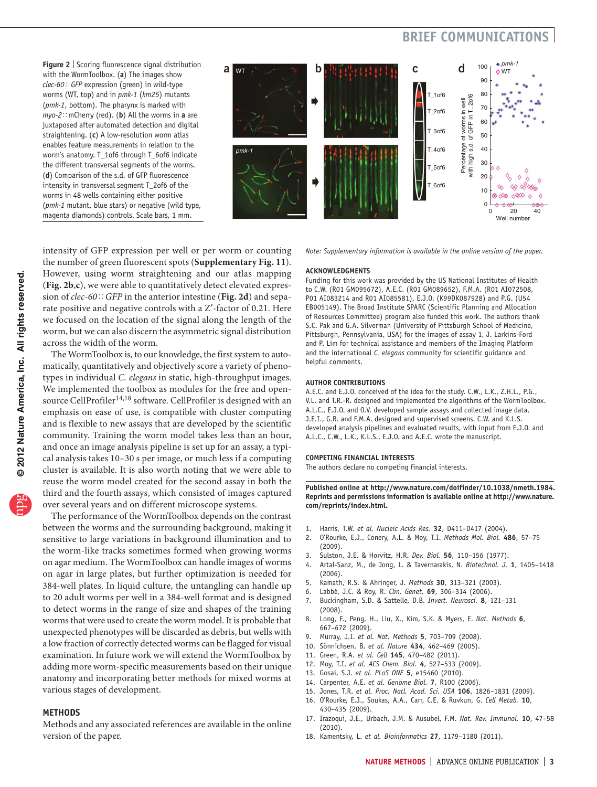# **brief communications**

<span id="page-2-13"></span>**Figure 2** | Scoring fluorescence signal distribution with the WormToolbox. (**a**) The images show *clec-60*ø*GFP* expression (green) in wild-type worms (WT, top) and in *pmk-1* (*km25*) mutants (*pmk-1*, bottom). The pharynx is marked with *myo-2*<sup>*∶*</sup> mCherry (red). (**b**) All the worms in **a** are juxtaposed after automated detection and digital straightening. (**c**) A low-resolution worm atlas enables feature measurements in relation to the worm's anatomy. T\_1of6 through T\_6of6 indicate the different transversal segments of the worms. (**d**) Comparison of the s.d. of GFP fluorescence intensity in transversal segment T\_2of6 of the worms in 48 wells containing either positive (*pmk-1* mutant, blue stars) or negative (wild type, magenta diamonds) controls. Scale bars, 1 mm.



intensity of GFP expression per well or per worm or counting the number of green fluorescent spots (**Supplementary Fig. 11**). However, using worm straightening and our atlas mapping (**[Fig. 2b](#page-2-13)**,**c**), we were able to quantitatively detect elevated expression of *clec-60*<sup> $\cdots$ </sup> GFP in the anterior intestine ([Fig. 2d](#page-2-13)) and separate positive and negative controls with a Z′-factor of 0.21. Here we focused on the location of the signal along the length of the worm, but we can also discern the asymmetric signal distribution across the width of the worm.

The WormToolbox is, to our knowledge, the first system to automatically, quantitatively and objectively score a variety of phenotypes in individual *C. elegans* in static, high-throughput images. We implemented the toolbox as modules for the free and open-source CellProfiler<sup>[14,](#page-2-2)18</sup> software. CellProfiler is designed with an emphasis on ease of use, is compatible with cluster computing and is flexible to new assays that are developed by the scientific community. Training the worm model takes less than an hour, and once an image analysis pipeline is set up for an assay, a typical analysis takes 10–30 s per image, or much less if a computing cluster is available. It is also worth noting that we were able to reuse the worm model created for the second assay in both the third and the fourth assays, which consisted of images captured over several years and on different microscope systems.

The performance of the WormToolbox depends on the contrast between the worms and the surrounding background, making it sensitive to large variations in background illumination and to the worm-like tracks sometimes formed when growing worms on agar medium. The WormToolbox can handle images of worms on agar in large plates, but further optimization is needed for 384-well plates. In liquid culture, the untangling can handle up to 20 adult worms per well in a 384-well format and is designed to detect worms in the range of size and shapes of the training worms that were used to create the worm model. It is probable that unexpected phenotypes will be discarded as debris, but wells with a low fraction of correctly detected worms can be flagged for visual examination. In future work we will extend the WormToolbox by adding more worm-specific measurements based on their unique anatomy and incorporating better methods for mixed worms at various stages of development.

## **Methods**

Methods and any associated references are available in the [online](http://www.nature.com/doifinder/10.1038/nmeth.1984) [version](http://www.nature.com/doifinder/10.1038/nmeth.1984) of the paper.

*Note: Supplementary information is available in the [online version of the paper](http://www.nature.com/doifinder/10.1038/nmeth.1984).*

#### **Acknowledgments**

Funding for this work was provided by the US National Institutes of Health to C.W. (R01 GM095672), A.E.C. (R01 GM089652), F.M.A. (R01 AI072508, P01 AI083214 and R01 AI085581), E.J.O. (K99DK087928) and P.G. (U54 EB005149). The Broad Institute SPARC (Scientific Planning and Allocation of Resources Committee) program also funded this work. The authors thank S.C. Pak and G.A. Silverman (University of Pittsburgh School of Medicine, Pittsburgh, Pennsylvania, USA) for the images of assay 1, J. Larkins-Ford and P. Lim for technical assistance and members of the Imaging Platform and the international *C. elegans* community for scientific guidance and helpful comments.

#### **AUTHOR CONTRIBUTIONS**

A.E.C. and E.J.O. conceived of the idea for the study. C.W., L.K., Z.H.L., P.G., V.L. and T.R.-R. designed and implemented the algorithms of the WormToolbox. A.L.C., E.J.O. and O.V. developed sample assays and collected image data. J.E.I., G.R. and F.M.A. designed and supervised screens. C.W. and K.L.S. developed analysis pipelines and evaluated results, with input from E.J.O. and A.L.C., C.W., L.K., K.L.S., E.J.O. and A.E.C. wrote the manuscript.

#### **COMPETING FINANCIAL INTERESTS**

The authors declare no competing financial interests.

**Published online at <http://www.nature.com/doifinder/10.1038/nmeth.1984>. Reprints and permissions information is available online at http://www.nature. com/reprints/index.html.**

- <span id="page-2-5"></span>1. Harris, T.W. *et al. Nucleic Acids Res.* **32**, D411–D417 (2004).
- <span id="page-2-6"></span>2. O'Rourke, E.J., Conery, A.L. & Moy, T.I. *Methods Mol. Biol.* **486**, 57–75 (2009).
- 
- <span id="page-2-8"></span><span id="page-2-7"></span>3. Sulston, J.E. & Horvitz, H.R. *Dev. Biol.* **56**, 110–156 (1977). 4. Artal-Sanz, M., de Jong, L. & Tavernarakis, N. *Biotechnol. J.* **1**, 1405–1418 (2006).
- 5. Kamath, R.S. & Ahringer, J. *Methods* **30**, 313–321 (2003).
- <span id="page-2-9"></span>6. Labbé, J.C. & Roy, R. *Clin. Genet.* **69**, 306–314 (2006).
- <span id="page-2-10"></span>7. Buckingham, S.D. & Sattelle, D.B. *Invert. Neurosci.* **8**, 121–131 (2008).
- <span id="page-2-4"></span>8. Long, F., Peng, H., Liu, X., Kim, S.K. & Myers, E. *Nat. Methods* **6**, 667–672 (2009).
- 9. Murray, J.I. *et al. Nat. Methods* **5**, 703–709 (2008).
- 10. Sönnichsen, B. *et al. Nature* **434**, 462–469 (2005).
- <span id="page-2-11"></span>11. Green, R.A. *et al. Cell* **145**, 470–482 (2011).
- <span id="page-2-0"></span>12. Moy, T.I. *et al. ACS Chem. Biol.* **4**, 527–533 (2009).
- <span id="page-2-1"></span>13. Gosai, S.J. *et al. PLoS ONE* **5**, e15460 (2010).
- <span id="page-2-2"></span>14. Carpenter, A.E. *et al. Genome Biol.* **7**, R100 (2006).
- <span id="page-2-3"></span>15. Jones, T.R. *et al. Proc. Natl. Acad. Sci. USA* **106**, 1826–1831 (2009).
- <span id="page-2-12"></span>16. O'Rourke, E.J., Soukas, A.A., Carr, C.E. & Ruvkun, G. *Cell Metab.* **10**, 430–435 (2009).
- <span id="page-2-14"></span>17. Irazoqui, J.E., Urbach, J.M. & Ausubel, F.M. *Nat. Rev. Immunol.* **10**, 47–58 (2010).
- <span id="page-2-15"></span>18. Kamentsky, L. *et al. Bioinformatics* **27**, 1179–1180 (2011).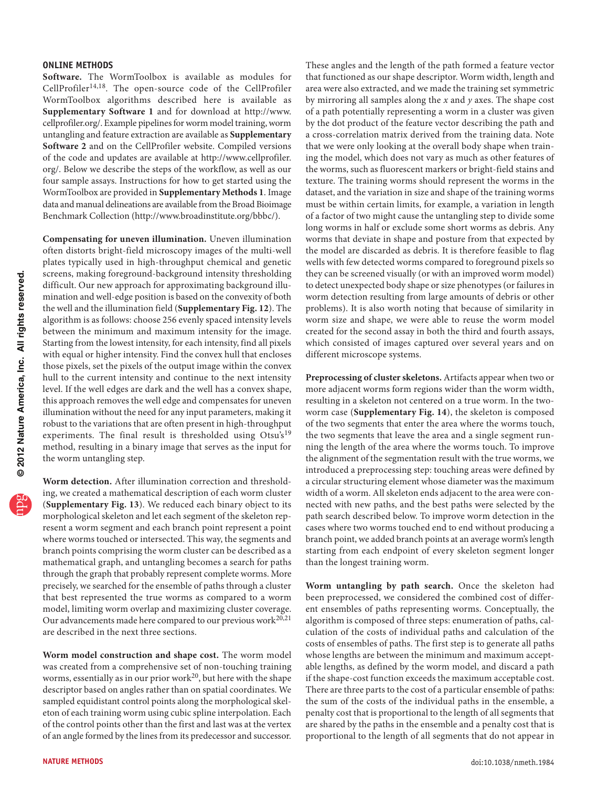### **ONLINE METHODS**

**Software.** The WormToolbox is available as modules for CellProfiler[14,](#page-2-2)[18](#page-2-15). The open-source code of the CellProfiler WormToolbox algorithms described here is available as **Supplementary Software 1** and for download at [http://www.](http://www.cellprofiler.org/) [cellprofiler.org/.](http://www.cellprofiler.org/) Example pipelines for worm model training, worm untangling and feature extraction are available as **Supplementary Software 2** and on the CellProfiler website. Compiled versions of the code and updates are available at [http://www.cellprofiler.](http://www.cellprofiler.org/) [org/.](http://www.cellprofiler.org/) Below we describe the steps of the workflow, as well as our four sample assays. Instructions for how to get started using the WormToolbox are provided in **Supplementary Methods 1**. Image data and manual delineations are available from the Broad Bioimage Benchmark Collection [\(http://www.broadinstitute.org/bbbc/](http://www.broadinstitute.org/bbbc/)).

**Compensating for uneven illumination.** Uneven illumination often distorts bright-field microscopy images of the multi-well plates typically used in high-throughput chemical and genetic screens, making foreground-background intensity thresholding difficult. Our new approach for approximating background illumination and well-edge position is based on the convexity of both the well and the illumination field (**Supplementary Fig. 12**). The algorithm is as follows: choose 256 evenly spaced intensity levels between the minimum and maximum intensity for the image. Starting from the lowest intensity, for each intensity, find all pixels with equal or higher intensity. Find the convex hull that encloses those pixels, set the pixels of the output image within the convex hull to the current intensity and continue to the next intensity level. If the well edges are dark and the well has a convex shape, this approach removes the well edge and compensates for uneven illumination without the need for any input parameters, making it robust to the variations that are often present in high-throughput experiments. The final result is thresholded using Otsu's<sup>[19](#page-5-0)</sup> method, resulting in a binary image that serves as the input for the worm untangling step.

**Worm detection.** After illumination correction and thresholding, we created a mathematical description of each worm cluster (**Supplementary Fig. 13**). We reduced each binary object to its morphological skeleton and let each segment of the skeleton represent a worm segment and each branch point represent a point where worms touched or intersected. This way, the segments and branch points comprising the worm cluster can be described as a mathematical graph, and untangling becomes a search for paths through the graph that probably represent complete worms. More precisely, we searched for the ensemble of paths through a cluster that best represented the true worms as compared to a worm model, limiting worm overlap and maximizing cluster coverage. Our advancements made here compared to our previous work $^{20,21}$  $^{20,21}$  $^{20,21}$  $^{20,21}$ are described in the next three sections.

**Worm model construction and shape cost.** The worm model was created from a comprehensive set of non-touching training worms, essentially as in our prior work<sup>[20](#page-5-1)</sup>, but here with the shape descriptor based on angles rather than on spatial coordinates. We sampled equidistant control points along the morphological skeleton of each training worm using cubic spline interpolation. Each of the control points other than the first and last was at the vertex of an angle formed by the lines from its predecessor and successor. These angles and the length of the path formed a feature vector that functioned as our shape descriptor. Worm width, length and area were also extracted, and we made the training set symmetric by mirroring all samples along the *x* and *y* axes. The shape cost of a path potentially representing a worm in a cluster was given by the dot product of the feature vector describing the path and a cross-correlation matrix derived from the training data. Note that we were only looking at the overall body shape when training the model, which does not vary as much as other features of the worms, such as fluorescent markers or bright-field stains and texture. The training worms should represent the worms in the dataset, and the variation in size and shape of the training worms must be within certain limits, for example, a variation in length of a factor of two might cause the untangling step to divide some long worms in half or exclude some short worms as debris. Any worms that deviate in shape and posture from that expected by the model are discarded as debris. It is therefore feasible to flag wells with few detected worms compared to foreground pixels so they can be screened visually (or with an improved worm model) to detect unexpected body shape or size phenotypes (or failures in worm detection resulting from large amounts of debris or other problems). It is also worth noting that because of similarity in worm size and shape, we were able to reuse the worm model created for the second assay in both the third and fourth assays, which consisted of images captured over several years and on different microscope systems.

**Preprocessing of cluster skeletons.** Artifacts appear when two or more adjacent worms form regions wider than the worm width, resulting in a skeleton not centered on a true worm. In the twoworm case (**Supplementary Fig. 14**), the skeleton is composed of the two segments that enter the area where the worms touch, the two segments that leave the area and a single segment running the length of the area where the worms touch. To improve the alignment of the segmentation result with the true worms, we introduced a preprocessing step: touching areas were defined by a circular structuring element whose diameter was the maximum width of a worm. All skeleton ends adjacent to the area were connected with new paths, and the best paths were selected by the path search described below. To improve worm detection in the cases where two worms touched end to end without producing a branch point, we added branch points at an average worm's length starting from each endpoint of every skeleton segment longer than the longest training worm.

**Worm untangling by path search.** Once the skeleton had been preprocessed, we considered the combined cost of different ensembles of paths representing worms. Conceptually, the algorithm is composed of three steps: enumeration of paths, calculation of the costs of individual paths and calculation of the costs of ensembles of paths. The first step is to generate all paths whose lengths are between the minimum and maximum acceptable lengths, as defined by the worm model, and discard a path if the shape-cost function exceeds the maximum acceptable cost. There are three parts to the cost of a particular ensemble of paths: the sum of the costs of the individual paths in the ensemble, a penalty cost that is proportional to the length of all segments that are shared by the paths in the ensemble and a penalty cost that is proportional to the length of all segments that do not appear in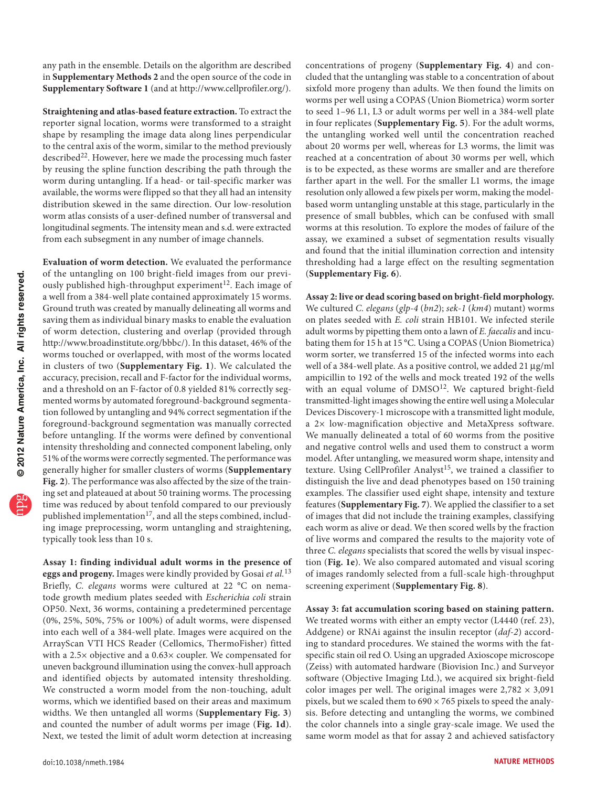any path in the ensemble. Details on the algorithm are described in **Supplementary Methods 2** and the open source of the code in **Supplementary Software 1** (and at [http://www.cellprofiler.org/\)](http://www.cellprofiler.org/).

**Straightening and atlas-based feature extraction.** To extract the reporter signal location, worms were transformed to a straight shape by resampling the image data along lines perpendicular to the central axis of the worm, similar to the method previously described<sup>[22](#page-5-3)</sup>. However, here we made the processing much faster by reusing the spline function describing the path through the worm during untangling. If a head- or tail-specific marker was available, the worms were flipped so that they all had an intensity distribution skewed in the same direction. Our low-resolution worm atlas consists of a user-defined number of transversal and longitudinal segments. The intensity mean and s.d. were extracted from each subsegment in any number of image channels.

**Evaluation of worm detection.** We evaluated the performance of the untangling on 100 bright-field images from our previously published high-throughput experiment<sup>12</sup>. Each image of a well from a 384-well plate contained approximately 15 worms. Ground truth was created by manually delineating all worms and saving them as individual binary masks to enable the evaluation of worm detection, clustering and overlap (provided through [http://www.broadinstitute.org/bbbc/\)](http://www.broadinstitute.org/bbbc/). In this dataset, 46% of the worms touched or overlapped, with most of the worms located in clusters of two (**Supplementary Fig. 1**). We calculated the accuracy, precision, recall and F-factor for the individual worms, and a threshold on an F-factor of 0.8 yielded 81% correctly segmented worms by automated foreground-background segmentation followed by untangling and 94% correct segmentation if the foreground-background segmentation was manually corrected before untangling. If the worms were defined by conventional intensity thresholding and connected component labeling, only 51% of the worms were correctly segmented. The performance was generally higher for smaller clusters of worms (**Supplementary Fig. 2**). The performance was also affected by the size of the training set and plateaued at about 50 training worms. The processing time was reduced by about tenfold compared to our previously published implementation<sup>17</sup>, and all the steps combined, including image preprocessing, worm untangling and straightening, typically took less than 10 s.

**Assay 1: finding individual adult worms in the presence of eggs and progeny.** Images were kindly provided by Gosai *et al.*[13](#page-2-1) Briefly, *C. elegans* worms were cultured at 22 °C on nematode growth medium plates seeded with *Escherichia coli* strain OP50. Next, 36 worms, containing a predetermined percentage (0%, 25%, 50%, 75% or 100%) of adult worms, were dispensed into each well of a 384-well plate. Images were acquired on the ArrayScan VTI HCS Reader (Cellomics, ThermoFisher) fitted with a 2.5× objective and a 0.63× coupler. We compensated for uneven background illumination using the convex-hull approach and identified objects by automated intensity thresholding. We constructed a worm model from the non-touching, adult worms, which we identified based on their areas and maximum widths. We then untangled all worms (**Supplementary Fig. 3**) and counted the number of adult worms per image (**[Fig. 1d](#page-1-0)**). Next, we tested the limit of adult worm detection at increasing concentrations of progeny (**Supplementary Fig. 4**) and concluded that the untangling was stable to a concentration of about sixfold more progeny than adults. We then found the limits on worms per well using a COPAS (Union Biometrica) worm sorter to seed 1–96 L1, L3 or adult worms per well in a 384-well plate in four replicates (**Supplementary Fig. 5**). For the adult worms, the untangling worked well until the concentration reached about 20 worms per well, whereas for L3 worms, the limit was reached at a concentration of about 30 worms per well, which is to be expected, as these worms are smaller and are therefore farther apart in the well. For the smaller L1 worms, the image resolution only allowed a few pixels per worm, making the modelbased worm untangling unstable at this stage, particularly in the presence of small bubbles, which can be confused with small worms at this resolution. To explore the modes of failure of the assay, we examined a subset of segmentation results visually and found that the initial illumination correction and intensity thresholding had a large effect on the resulting segmentation (**Supplementary Fig. 6**).

**Assay 2: live or dead scoring based on bright-field morphology.** We cultured *C. elegans* (*glp-4* (*bn2*); *sek-1* (*km4*) mutant) worms on plates seeded with *E. coli* strain HB101. We infected sterile adult worms by pipetting them onto a lawn of *E. faecalis* and incubating them for 15 h at 15 °C. Using a COPAS (Union Biometrica) worm sorter, we transferred 15 of the infected worms into each well of a 384-well plate. As a positive control, we added 21 µg/ml ampicillin to 192 of the wells and mock treated 192 of the wells with an equal volume of  $DMSO<sup>12</sup>$ . We captured bright-field transmitted-light images showing the entire well using a Molecular Devices Discovery-1 microscope with a transmitted light module, a 2× low-magnification objective and MetaXpress software. We manually delineated a total of 60 worms from the positive and negative control wells and used them to construct a worm model. After untangling, we measured worm shape, intensity and texture. Using CellProfiler Analyst<sup>15</sup>, we trained a classifier to distinguish the live and dead phenotypes based on 150 training examples. The classifier used eight shape, intensity and texture features (**Supplementary Fig. 7**). We applied the classifier to a set of images that did not include the training examples, classifying each worm as alive or dead. We then scored wells by the fraction of live worms and compared the results to the majority vote of three *C. elegans* specialists that scored the wells by visual inspection (**[Fig. 1e](#page-1-0)**). We also compared automated and visual scoring of images randomly selected from a full-scale high-throughput screening experiment (**Supplementary Fig. 8**).

**Assay 3: fat accumulation scoring based on staining pattern.** We treated worms with either an empty vector (L4440 (ref. 23), Addgene) or RNAi against the insulin receptor (*daf-2*) according to standard procedures. We stained the worms with the fatspecific stain oil red O. Using an upgraded Axioscope microscope (Zeiss) with automated hardware (Biovision Inc.) and Surveyor software (Objective Imaging Ltd.), we acquired six bright-field color images per well. The original images were  $2,782 \times 3,091$ pixels, but we scaled them to  $690 \times 765$  pixels to speed the analysis. Before detecting and untangling the worms, we combined the color channels into a single gray-scale image. We used the same worm model as that for assay 2 and achieved satisfactory